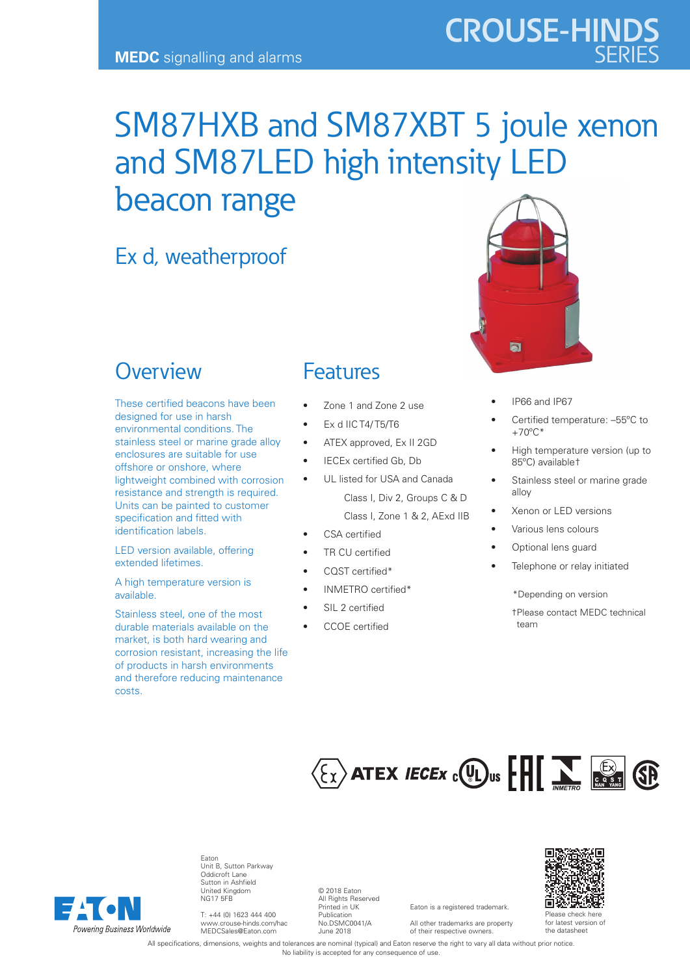## SM87HXB and SM87XBT 5 joule xenon and SM87LED high intensity LED beacon range

## Ex d, weatherproof

## **Overview**

These certified beacons have been designed for use in harsh environmental conditions. The stainless steel or marine grade alloy enclosures are suitable for use offshore or onshore, where lightweight combined with corrosion resistance and strength is required. Units can be painted to customer specification and fitted with identification labels.

LED version available, offering extended lifetimes.

A high temperature version is available.

Stainless steel, one of the most durable materials available on the market, is both hard wearing and corrosion resistant, increasing the life of products in harsh environments and therefore reducing maintenance costs.

### Features

- Zone 1 and Zone 2 use
- Ex d IIC T4/ T5/T6
- ATEX approved, Ex II 2GD
- IECEx certified Gb, Db
- UL listed for USA and Canada Class I, Div 2, Groups C & D

Class I, Zone 1 & 2, AExd IIB

- CSA certified
- TR CU certified
- CQST certified\*
- INMETRO certified\*
- SIL 2 certified
- CCOE certified



**CROUSE-HINDS**

- IP66 and IP67
- Certified temperature: –55ºC to  $+70^{\circ}$ C<sup>\*</sup>
- High temperature version (up to 85ºC) available†
- Stainless steel or marine grade alloy
- Xenon or LED versions
- Various lens colours
- Optional lens guard
- Telephone or relay initiated
	- \*Depending on version
	- †Please contact MEDC technical team

# $\langle \xi_X \rangle$  ATEX *IECEX* c  $\langle \psi_L \rangle$ us  $\left[\prod_{\text{NMEFRO}} \sum_{\text{E.S.}} \langle \hat{\xi} \rangle \right]$



Eaton Unit B, Sutton Parkway Oddicroft Lane Sutton in Ashfield United Kingdom NG17 5FB

T: +44 (0) 1623 444 400 www.crouse-hinds.com/hac MEDCSales@Eaton.com

© 2018 Eaton All Rights Reserved Printed in UK Publication No.DSMC0041/A June 2018

Eaton is a registered trademark. All other trademarks are property of their respective owners.



for latest version of the datasheet

All specifications, dimensions, weights and tolerances are nominal (typical) and Eaton reserve the right to vary all data without prior notice. No liability is accepted for any consequence of use.